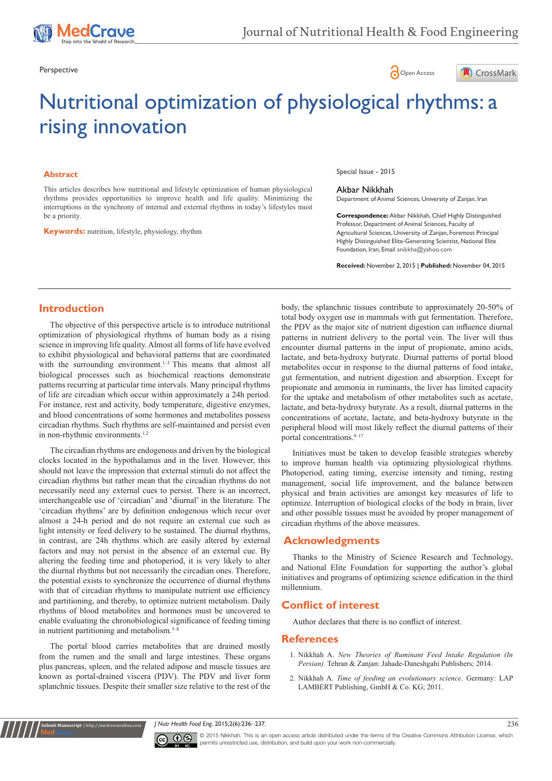





# Nutritional optimization of physiological rhythms: a rising innovation

#### **Abstract**

This articles describes how nutritional and lifestyle optimization of human physiological rhythms provides opportunities to improve health and life quality. Minimizing the interruptions in the synchrony of internal and external rhythms in today's lifestyles must be a priority.

**Keywords:** nutrition, lifestyle, physiology, rhythm

Special Issue - 2015

#### Akbar Nikkhah

Department of Animal Sciences, University of Zanjan, Iran

**Correspondence:** Akbar Nikkhah, Chief Highly Distinguished Professor, Department of Animal Sciences, Faculty of Agricultural Sciences, University of Zanjan, Foremost Principal Highly Distinguished Elite-Generating Scientist, National Elite Foundation, Iran, Email anikkha@yahoo.com

**Received:** November 2, 2015 | **Published:** November 04, 2015

## **Introduction**

The objective of this perspective article is to introduce nutritional optimization of physiological rhythms of human body as a rising science in improving life quality. Almost all forms of life have evolved to exhibit physiological and behavioral patterns that are coordinated with the surrounding environment.<sup>1-3</sup> This means that almost all biological processes such as biochemical reactions demonstrate patterns recurring at particular time intervals. Many principal rhythms of life are circadian which occur within approximately a 24h period. For instance, rest and activity, body temperature, digestive enzymes, and blood concentrations of some hormones and metabolites possess circadian rhythms. Such rhythms are self-maintained and persist even in non-rhythmic environments.<sup>1,2</sup>

The circadian rhythms are endogenous and driven by the biological clocks located in the hypothalamus and in the liver. However, this should not leave the impression that external stimuli do not affect the circadian rhythms but rather mean that the circadian rhythms do not necessarily need any external cues to persist. There is an incorrect, interchangeable use of 'circadian' and 'diurnal' in the literature. The 'circadian rhythms' are by definition endogenous which recur over almost a 24-h period and do not require an external cue such as light intensity or feed delivery to be sustained. The diurnal rhythms, in contrast, are 24h rhythms which are easily altered by external factors and may not persist in the absence of an external cue. By altering the feeding time and photoperiod, it is very likely to alter the diurnal rhythms but not necessarily the circadian ones. Therefore, the potential exists to synchronize the occurrence of diurnal rhythms with that of circadian rhythms to manipulate nutrient use efficiency and partitioning, and thereby, to optimize nutrient metabolism. Daily rhythms of blood metabolites and hormones must be uncovered to enable evaluating the chronobiological significance of feeding timing in nutrient partitioning and metabolism. $3-8$ 

The portal blood carries metabolites that are drained mostly from the rumen and the small and large intestines. These organs plus pancreas, spleen, and the related adipose and muscle tissues are known as portal-drained viscera (PDV). The PDV and liver form splanchnic tissues. Despite their smaller size relative to the rest of the

**it Manuscript** | http://medcraveonline.

body, the splanchnic tissues contribute to approximately 20-50% of total body oxygen use in mammals with gut fermentation. Therefore, the PDV as the major site of nutrient digestion can influence diurnal patterns in nutrient delivery to the portal vein. The liver will thus encounter diurnal patterns in the input of propionate, amino acids, lactate, and beta-hydroxy butyrate. Diurnal patterns of portal blood metabolites occur in response to the diurnal patterns of food intake, gut fermentation, and nutrient digestion and absorption. Except for propionate and ammonia in ruminants, the liver has limited capacity for the uptake and metabolism of other metabolites such as acetate, lactate, and beta-hydroxy butyrate. As a result, diurnal patterns in the concentrations of acetate, lactate, and beta-hydroxy butyrate in the peripheral blood will most likely reflect the diurnal patterns of their portal concentrations.<sup>9-17</sup>

Initiatives must be taken to develop feasible strategies whereby to improve human health via optimizing physiological rhythms. Photoperiod, eating timing, exercise intensity and timing, resting management, social life improvement, and the balance between physical and brain activities are amongst key measures of life to optimize. Interruption of biological clocks of the body in brain, liver and other possible tissues must be avoided by proper management of circadian rhythms of the above measures.

## **Acknowledgments**

Thanks to the Ministry of Science Research and Technology, and National Elite Foundation for supporting the author's global initiatives and programs of optimizing science edification in the third millennium.

## **Conflict of interest**

Author declares that there is no conflict of interest.

#### **References**

- 1. Nikkhah A. *New Theories of Ruminant Feed Intake Regulation (In Persian).* Tehran & Zanjan: Jahade-Daneshgahi Publishers; 2014.
- 2. Nikkhah A. *[Time of feeding an evolutionary science](https://www.lap-publishing.com/catalog/details/store/gb/book/978-3-8473-3260-2/time-of-feeding-an-evolutionary-science)*. Germany: LAP [LAMBERT Publishing, GmbH & Co. KG; 2011.](https://www.lap-publishing.com/catalog/details/store/gb/book/978-3-8473-3260-2/time-of-feeding-an-evolutionary-science)

*J Nutr Health Food Eng.* 2015;2(6):236‒237. 236



© 2015 Nikkhah. This is an open access article distributed under the terms of the [Creative Commons Attribution License](https://creativecommons.org/licenses/by-nc/4.0/), which permits unrestricted use, distribution, and build upon your work non-commercially.